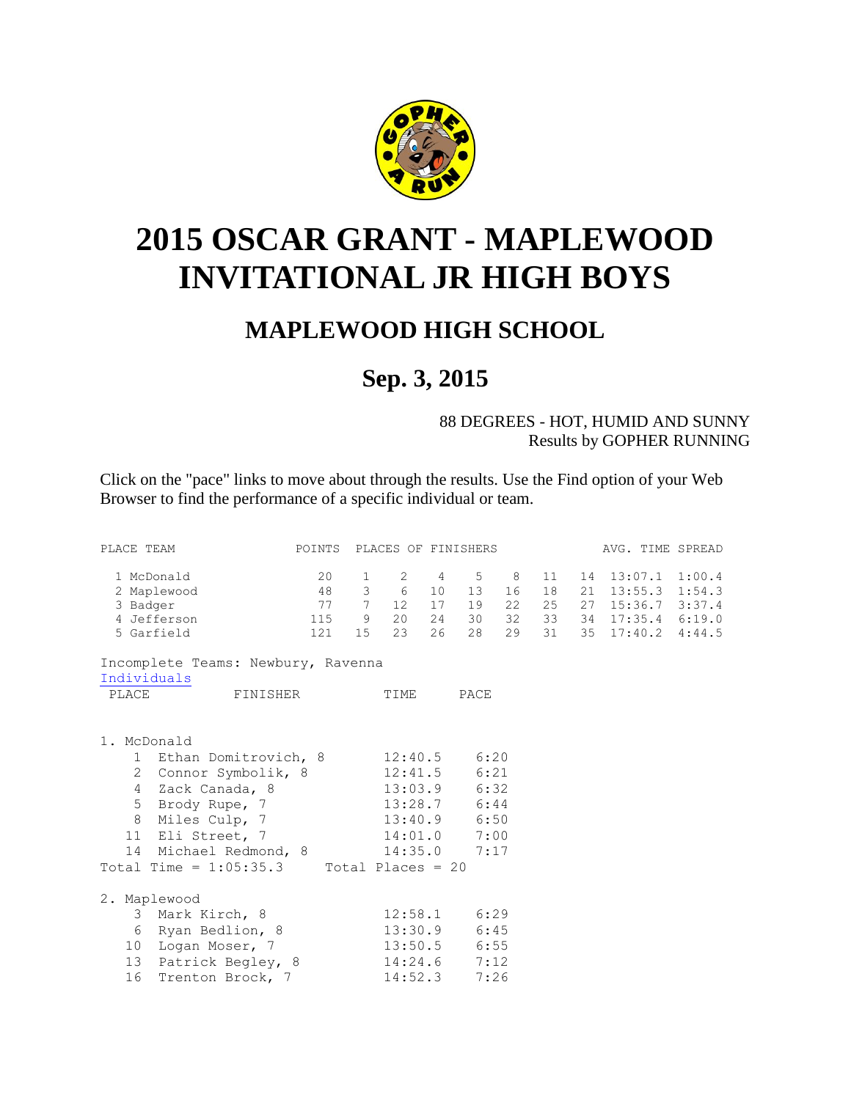

## <span id="page-0-0"></span>**2015 OSCAR GRANT - MAPLEWOOD INVITATIONAL JR HIGH BOYS**

## **MAPLEWOOD HIGH SCHOOL**

## **Sep. 3, 2015**

88 DEGREES - HOT, HUMID AND SUNNY Results by GOPHER RUNNING

Click on the "pace" links to move about through the results. Use the Find option of your Web Browser to find the performance of a specific individual or team.

| PLACE TEAM                                                    | POINTS PLACES OF FINISHERS |              |           |    |                |    |          | AVG. TIME SPREAD                       |  |
|---------------------------------------------------------------|----------------------------|--------------|-----------|----|----------------|----|----------|----------------------------------------|--|
| 1 McDonald<br>2 Maplewood                                     | 20                         | $\mathbf{1}$ | 48 3 6 10 |    | 2 4 5 8<br>13  | 16 | 11<br>18 | 14 13:07.1 1:00.4<br>21 13:55.3 1:54.3 |  |
| 3 Badger                                                      | 77 7                       |              | 12 17     |    | 19             | 22 | 25       | 27 15:36.7 3:37.4                      |  |
| 4 Jefferson                                                   | 115 9 20 24                |              |           |    | 30             |    |          | 32 33 34 17:35.4 6:19.0                |  |
| 5 Garfield                                                    | 121 15 23                  |              |           | 26 | 28             |    |          | 29 31 35 17:40.2 4:44.5                |  |
| Incomplete Teams: Newbury, Ravenna                            |                            |              |           |    |                |    |          |                                        |  |
| Individuals                                                   |                            |              |           |    |                |    |          |                                        |  |
| PLACE<br>FINISHER                                             |                            |              | TIME      |    | PACE           |    |          |                                        |  |
|                                                               |                            |              |           |    |                |    |          |                                        |  |
| 1. McDonald                                                   |                            |              |           |    |                |    |          |                                        |  |
| 1 Ethan Domitrovich, 8                                        |                            |              |           |    | $12:40.5$ 6:20 |    |          |                                        |  |
| 2 Connor Symbolik, 8                                          |                            |              |           |    | $12:41.5$ 6:21 |    |          |                                        |  |
| 4 Zack Canada, 8                                              |                            |              |           |    | $13:03.9$ 6:32 |    |          |                                        |  |
| 5                                                             |                            |              |           |    |                |    |          |                                        |  |
| Brody Rupe, 7 13:28.7 6:44<br>Miles Culp, 7 13:40.9 6:50<br>8 |                            |              |           |    |                |    |          |                                        |  |
| 11 Eli Street, 7                                              |                            |              |           |    | 14:01.0 7:00   |    |          |                                        |  |
| 14 Michael Redmond, 8                                         |                            |              |           |    | $14:35.0$ 7:17 |    |          |                                        |  |
| Total Time = $1:05:35.3$ Total Places = 20                    |                            |              |           |    |                |    |          |                                        |  |
|                                                               |                            |              |           |    |                |    |          |                                        |  |
| 2. Maplewood                                                  |                            |              |           |    |                |    |          |                                        |  |
| 3 Mark Kirch, 8                                               |                            |              |           |    | $12:58.1$ 6:29 |    |          |                                        |  |
| 6 Ryan Bedlion, 8                                             |                            |              |           |    | $13:30.9$ 6:45 |    |          |                                        |  |
| 10 Logan Moser, 7                                             |                            |              |           |    | 13:50.5 6:55   |    |          |                                        |  |
| 13 Patrick Begley, 8                                          |                            |              |           |    | $14:24.6$ 7:12 |    |          |                                        |  |
| 16<br>Trenton Brock, 7                                        |                            |              | 14:52.3   |    | 7:26           |    |          |                                        |  |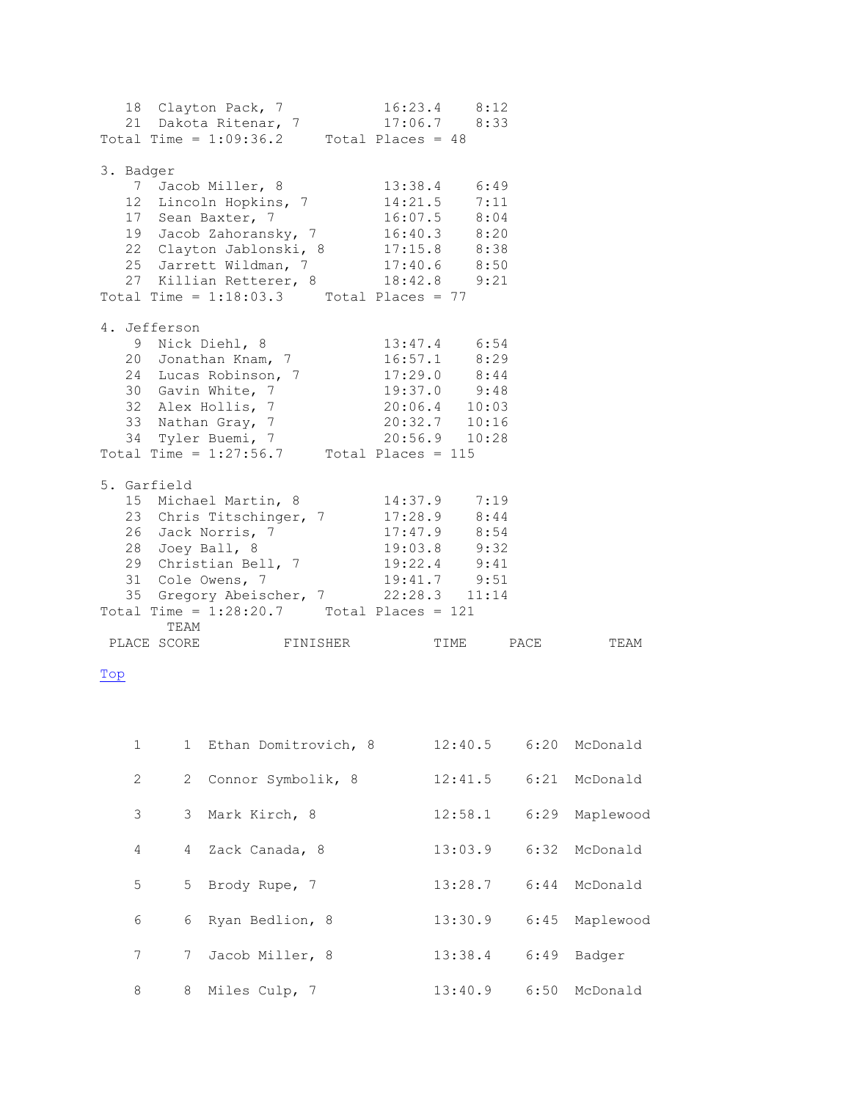| 18 Clayton Pack, 7 16:23.4 8:12<br>21 Dakota Ritenar, 7 17:06.7 8:33<br>Total Time = 1:09:36.2 Total Places = 48                                                                                                                                                                                                                                                                                |  |           |      |
|-------------------------------------------------------------------------------------------------------------------------------------------------------------------------------------------------------------------------------------------------------------------------------------------------------------------------------------------------------------------------------------------------|--|-----------|------|
| 3. Badger<br>7 Jacob Miller, 8 13:38.4 6:49<br>12 Lincoln Hopkins, 7 14:21.5 7:11<br>17 Sean Baxter, 7 16:07.5 8:04<br>19 Jacob Zahoransky, 7 16:40.3 8:20<br>22 Clayton Jablonski, 8 17:15.8 8:38<br>25 Jarrett Wildman, 7 17:40.6 8:50<br>27 Killian Retterer, 8 18:42.8 9:21<br>Total Time = $1:18:03.3$ Total Places = 77                                                                   |  |           |      |
| 4. Jefferson<br>9 Nick Diehl, 8 13:47.4 6:54<br>20 Jonathan Knam, 7 16:57.1 8:29<br>24 Lucas Robinson, 7 17:29.0 8:44<br>30 Gavin White, 7<br>32 Alex Hollis, 7<br>32 Alex Hollis, 7<br>33 Nathan Gray, 7<br>34 Tyler Buemi, 7<br>34 Tyler Buemi, 7<br>34 Tyler Buemi, 7<br>34 Tyler Buemi, 7<br>Total Time = $1:27:56.7$ Total Places = 115                                                    |  |           |      |
| 5. Garfield<br>15 Michael Martin, 8 14:37.9 7:19<br>23 Chris Titschinger, 7<br>26 Jack Norris, 7<br>28 Joey Ball, 8<br>29 Christian Bell, 7<br>31 Cole Owens, 7<br>29 Christian Bell, 7<br>31 Cole Owens, 7<br>29 Christian Bell, 7<br>29 31<br>29 Christian Bell, 7<br>29:41<br>29:41<br>29:51<br>35 Gregory Abeischer, 7 22:28.3 11:14<br>Total Time = $1:28:20.7$ Total Places = 121<br>TEAM |  |           |      |
| PLACE SCORE FINISHER                                                                                                                                                                                                                                                                                                                                                                            |  | TIME PACE | TEAM |

## <span id="page-1-0"></span>[Top](#page-0-0)

| $\mathbf{1}$ |                 | 1 Ethan Domitrovich, 8 | 12:40.5 |      | 6:20 McDonald |
|--------------|-----------------|------------------------|---------|------|---------------|
| 2            |                 | 2 Connor Symbolik, 8   | 12:41.5 |      | 6:21 McDonald |
| 3            |                 | 3 Mark Kirch, 8        | 12:58.1 | 6:29 | Maplewood     |
| 4            |                 | 4 Zack Canada, 8       | 13:03.9 |      | 6:32 McDonald |
| 5            |                 | 5 Brody Rupe, 7        | 13:28.7 |      | 6:44 McDonald |
| 6            |                 | 6 Ryan Bedlion, 8      | 13:30.9 | 6:45 | Maplewood     |
| 7            | $7\phantom{.0}$ | Jacob Miller, 8        | 13:38.4 | 6:49 | Badger        |
| 8            | 8               | Miles Culp, 7          | 13:40.9 |      | 6:50 McDonald |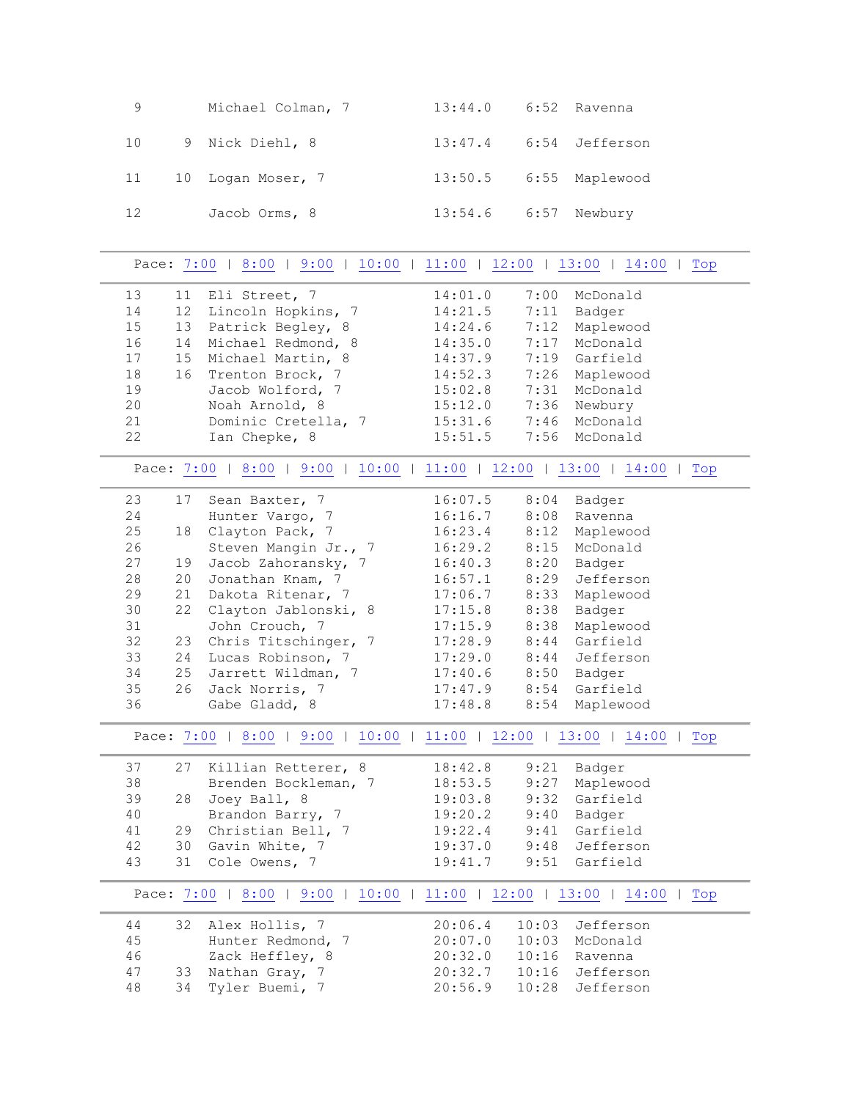| 9  | Michael Colman, 7  | 13:44.0 6:52 Ravenna         |  |
|----|--------------------|------------------------------|--|
|    | 10 9 Nick Diehl, 8 | 13:47.4 6:54 Jefferson       |  |
| 11 | 10 Logan Moser, 7  | 13:50.5    6:55    Maplewood |  |
| 12 | Jacob Orms, 8      | 13:54.6    6:57    Newbury   |  |

<span id="page-2-3"></span><span id="page-2-2"></span><span id="page-2-1"></span><span id="page-2-0"></span>

|    |    | Pace: 7:00   8:00   9:00   10:00   11:00   12:00   13:00   14:00       |         |       |               | Top |
|----|----|------------------------------------------------------------------------|---------|-------|---------------|-----|
| 13 | 11 | Eli Street, 7                                                          | 14:01.0 | 7:00  | McDonald      |     |
| 14 | 12 | Lincoln Hopkins, 7                                                     | 14:21.5 | 7:11  | Badger        |     |
| 15 | 13 | Patrick Begley, 8                                                      | 14:24.6 | 7:12  | Maplewood     |     |
| 16 | 14 | Michael Redmond, 8                                                     | 14:35.0 | 7:17  | McDonald      |     |
| 17 | 15 | Michael Martin, 8                                                      | 14:37.9 |       | 7:19 Garfield |     |
| 18 | 16 | Trenton Brock, 7                                                       | 14:52.3 | 7:26  | Maplewood     |     |
| 19 |    | Jacob Wolford, 7                                                       | 15:02.8 | 7:31  | McDonald      |     |
| 20 |    | Noah Arnold, 8                                                         | 15:12.0 | 7:36  | Newbury       |     |
| 21 |    | Dominic Cretella, 7                                                    | 15:31.6 | 7:46  | McDonald      |     |
| 22 |    | Ian Chepke, 8                                                          | 15:51.5 | 7:56  | McDonald      |     |
|    |    |                                                                        |         |       |               |     |
|    |    | Pace: 7:00   8:00   9:00   10:00   11:00   12:00   13:00   14:00       |         |       |               | Top |
| 23 | 17 | Sean Baxter, 7                                                         | 16:07.5 | 8:04  | Badger        |     |
| 24 |    | Hunter Vargo, 7                                                        | 16:16.7 | 8:08  | Ravenna       |     |
| 25 | 18 | Clayton Pack, 7                                                        | 16:23.4 | 8:12  | Maplewood     |     |
| 26 |    | Steven Mangin Jr., 7                                                   | 16:29.2 | 8:15  | McDonald      |     |
| 27 | 19 | Jacob Zahoransky, 7                                                    | 16:40.3 | 8:20  | Badger        |     |
| 28 | 20 | Jonathan Knam, 7                                                       | 16:57.1 | 8:29  | Jefferson     |     |
| 29 | 21 | Dakota Ritenar, 7                                                      | 17:06.7 | 8:33  | Maplewood     |     |
| 30 | 22 | Clayton Jablonski, 8                                                   | 17:15.8 | 8:38  | Badger        |     |
| 31 |    | John Crouch, 7                                                         | 17:15.9 | 8:38  | Maplewood     |     |
| 32 | 23 | Chris Titschinger, 7                                                   | 17:28.9 | 8:44  | Garfield      |     |
| 33 | 24 | Lucas Robinson, 7                                                      | 17:29.0 | 8:44  | Jefferson     |     |
| 34 | 25 | Jarrett Wildman, 7                                                     | 17:40.6 | 8:50  | Badger        |     |
| 35 | 26 | Jack Norris, 7                                                         | 17:47.9 |       | 8:54 Garfield |     |
| 36 |    | Gabe Gladd, 8                                                          | 17:48.8 | 8:54  | Maplewood     |     |
|    |    | Pace: 7:00   8:00   9:00   10:00   11:00   12:00   13:00   14:00   Top |         |       |               |     |
| 37 | 27 | Killian Retterer, 8                                                    | 18:42.8 | 9:21  | Badger        |     |
| 38 |    | Brenden Bockleman, 7                                                   | 18:53.5 | 9:27  | Maplewood     |     |
| 39 | 28 | Joey Ball, 8                                                           | 19:03.8 | 9:32  | Garfield      |     |
| 40 |    | Brandon Barry, 7                                                       | 19:20.2 | 9:40  | Badger        |     |
| 41 | 29 | Christian Bell, 7                                                      | 19:22.4 |       | 9:41 Garfield |     |
| 42 | 30 | Gavin White, 7                                                         | 19:37.0 | 9:48  | Jefferson     |     |
| 43 | 31 | Cole Owens, 7                                                          | 19:41.7 | 9:51  | Garfield      |     |
|    |    | Pace: 7:00   8:00   9:00   10:00   11:00   12:00   13:00   14:00   Top |         |       |               |     |
| 44 | 32 | Alex Hollis, 7                                                         | 20:06.4 | 10:03 | Jefferson     |     |
| 45 |    | Hunter Redmond, 7                                                      | 20:07.0 | 10:03 | McDonald      |     |
| 46 |    | Zack Heffley, 8                                                        | 20:32.0 | 10:16 | Ravenna       |     |
| 47 | 33 | Nathan Gray, 7                                                         | 20:32.7 | 10:16 | Jefferson     |     |
| 48 | 34 | Tyler Buemi, 7                                                         | 20:56.9 | 10:28 | Jefferson     |     |
|    |    |                                                                        |         |       |               |     |